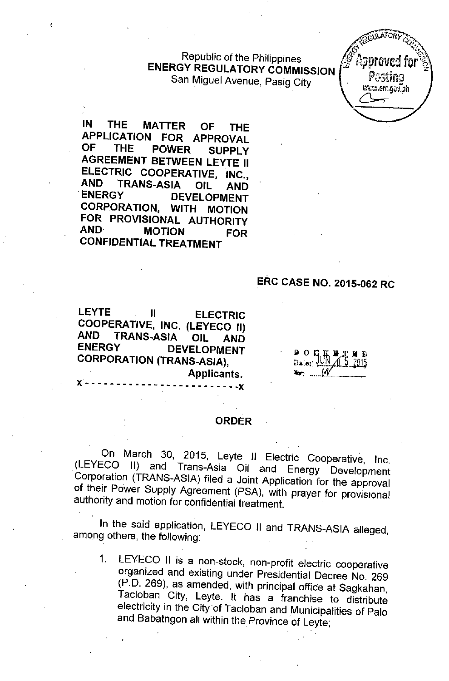Republic of the Philippines **ENERGY REGULATORY COMMISSION** San Miguel Avenue, Pasig City



**IN THE MATTER OF THE APPLICATION FOR APPROVAL OF THE POWER** SUPPLY **AGREEMENT BETWEEN LEYTE II ELECTRIC COOPERATIVE, INC., AND TRANS-ASIA OIL AND ENERGY DEVELOPMENT CORPORATION, WITH MOTION FOR PROVISIONAL AUTHORITY AND MOTION FOR CONFIDENTIAL TREATMENT**

## **ERC CASE NO. 2015-062 RC**

**LEYTE II ELECTRIC COOPERATIVE, INC. (LEYECO II) AND TRANS-ASIA OIL AND ENERGY DEVELOPMENT CORPORATION (TRANS-ASIA),** Applicants.

 $\frac{1}{2}$  o  $\frac{1}{2}$   $\frac{1}{2}$ 

#### **ORDER**

 $- - - x$ 

On March 30, 2015, Leyte II Electric Cooperative, Inc. (LEYECO II) and Trans-Asia Oil and Energy Development Corporation (TRANS-ASIA) filed a Joint Application for the approval of their Power Supply Agreement (PSA), with prayer for provisional authority and motion for cOnfidential treatment.

In the said application, LEYECO II and TRANS-ASIA alleged, among others, the following:

1. LEYECO II is a non-stock, non-profit electric cooperative organized and existing under Presidential Decree No. 269 (P. D. 269), as amended, with principal *offiCe* at Sagkahan, Tacloban City, Leyte. It has a franchise to distribute electricity in the City of Tacloban and Municipalities of Palo and Babatngon all within the Province of Leyte;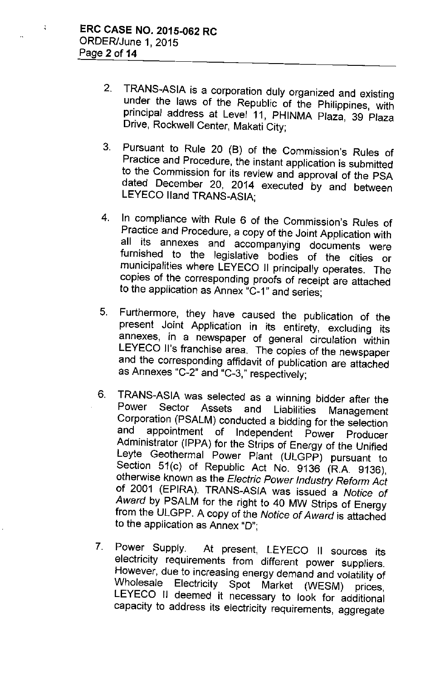$\ddot{\cdot}$ 

- 2. TRANS-ASIA is a corporation duly organized and existing under the laws of the Republic of the Philippines, with principal address at Level 11, PHINMA Plaza, 39 Plaza Drive, Rockwell Center, Makati City;
- 3. Pursuant to Rule 20 (8) of the Commission's Rules of Practice and Procedure, the instant application is submitted to the Commission for its review and approval of the PSA dated December 20, 2014 executed by and between LEYECO lIand TRANS-ASIA;
- 4. In compliance with Rule 6 of the Commission's Rules of Practice and Procedure, a copy of the Joint Application with all its annexes and accompanying documents were furnished to the legislative bodies of the cities or municipalities where LEYECO II principally operates. The copies of the corresponding proofs of receipt are attached to the application as Annex "C-1" and series;
- 5. Furthermore, they have caused the publication of the present Joint Application in its entirety, excluding its annexes, in a newspaper of general circulation within LEYECO II's franchise area. The copies of the newspaper and the corresponding affidavit of publication are attached as Annexes "C-2" and "C-3," respectively;
- 6. TRANS-ASIA was selected as a winning bidder after the Power Sector Assets and Liabilities Management Corporation (PSALM) conducted a bidding for the selection<br>and appointment of Independent Power Praducer appointment of Independent Power Producer Administrator (IPPA) for the Strips of Energy of the Unified Leyte Geothermal Power *Plant* (ULGPP) pursuant to Section 51(c) of Republic Act No. 9136 (R.A. 9136), otherwise known as the *Electric Power Industry Reform Act* of 2001 (EPIRA). TRANS-ASIA was issued a *Notice of Award* by PSALM for the right to 40 MW Strips of Energy from the ULGPP. A copy of the *Notice of Award* is attached to the application as Annex "D";
- 7. Power Supply. At present, LEYECO II sources its electricity requirements from different power suppliers. However, due to increasing energy demand and volatility of Wholesale Electricity Spot Market (WESM) prices, LEYECO II deemed it necessary to look for additional capacity to address its electricity requirements, aggregate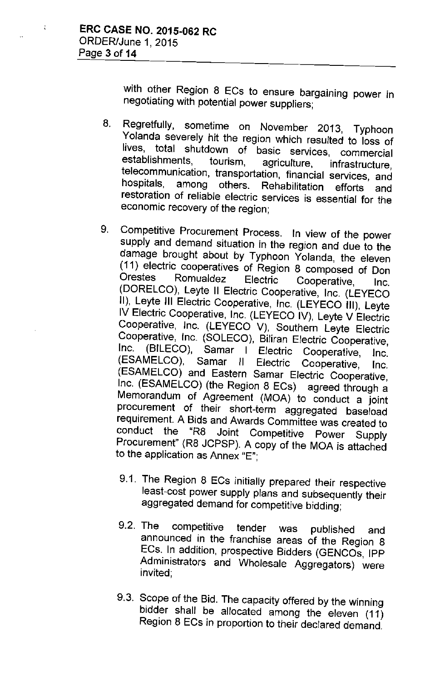$\frac{1}{4}$ 

with other Region 8 ECs to ensure bargaining power in negotiating with potential power suppliers;

- 8. Regretfully, sometime on November 2013, Typhoon Yolanda severely hit the region which resulted to loss of lives, total shutdown of basic services, commercial<br>establishments, tourism, agriculture, infrastructure establishments, tourism, agriculture, infrastructure, telecommunication, transportation, financial services, and hospitals, among others. Rehabilitation efforts and restoration of reliable electric services is essential for the economic recovery of the region;
- 9. Competitive Procurement Process. In view of the power supply and demand situation in the region and due to the damage brought about by Typhoon Yolanda, the eleven (11) electric cooperatives of Region 8 composed of Don Orestes Romualdez Electric Cooperative, Inc. (DORELCO), Leyte II Electric Cooperative, Inc. (LEYECO II), Leyte III Electric Cooperative, Inc. (LEYECO III), Leyte IV Electric Cooperative, Inc. (LEYECO IV), Leyte V Electric Cooperative, Inc. (LEYECO V), Southern Leyte Electric Cooperative, Inc. (SOLECO), Biliran Electric Cooperative,<br>Inc. (BILECO), Samar, L. Electric Cooperative, June (BILECO), Samar I Electric Cooperative, Inc. (ESAMELCO), Samar II Electric Cooperative, Inc. (ESAMELCO) and Eastern Samar Electric Cooperative, Inc. (ESAMELCO) (the Region 8 ECs) agreed through a Memorandum of Agreement (MOA) to conduct a joint procurement of their short-term aggregated baseload requirement. A Bids and Awards Committee was created to<br>conduct the "R8 Joint Competitive Power Supply "R8 Joint Competitive Power Supply Procurement" (R8 JCPSP). A copy of the MOA is attached to the application as Annex "E";
	- 9.1. The Region 8 ECs initially prepared their respective least-cost power supply plans and subsequently their aggregated demand for competitive bidding;
	- 9.2. The competitive tender was published and announced in the franchise areas of the Region 8 ECs. In addition, prospective Bidders (GENCOs, IPP Administrators and Wholesale Aggregators) were invited;
	- 9.3. Scope of the Bid. The capacity offered by the winning bidder shall be allocated among the eleven (11) Region 8 ECs in proportion to their declared demand.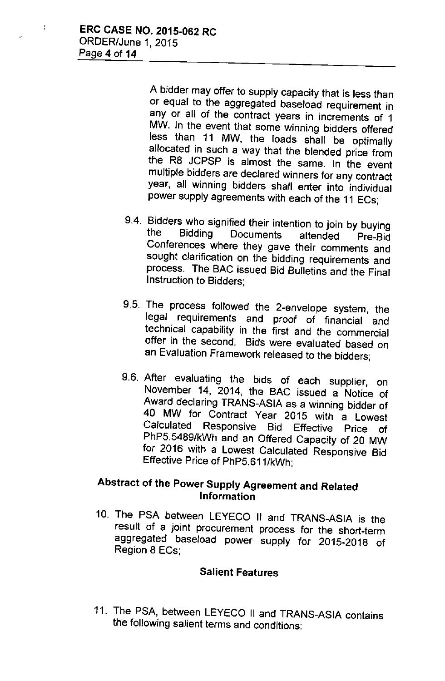$\ddot{\phantom{a}}$ 

A bidder may offer to supply capacity that is less than or equal to the aggregated baseload requirement in any or all of the contract years in increments of 1 MW. In the event that some winning bidders offered less than 11 MW, the loads shall be optimally allocated in such a way that the blended price from the R8 JCPSP is almost the same. In the event multiple bidders are declared winners for any contract year, all winning bidders shall enter into individual power supply agreements with each of the 11 ECs;

- 9.4. Bidders who signified their intention to join by buying<br>the Bidding Documents attended Pre-Bid the Bidding Documents attended Pre-Big Conferences where they gave their comments and sought clarification on the bidding requirements and process. The BAC issued Bid Bulletins and the Final Instruction to Bidders;
- 9.5. The process followed the 2-envelope system, the legal requirements and proof of financial and technical capability in the first and the commercial offer in the second. Bids were evaluated based on an Evaluation Framework released to the bidders;
- 9.6. After evaluating the bids of each supplier, on November 14, 2014, the BAC issued a Notice of Award declaring TRANS-ASIA as a winning bidder of 40 MW for Contract Year 2015 with a Lowest Calculated Responsive Bid Effective Price of PhP5.5489/kWh and an Offered Capacity of 20 MW for 2016 with a Lowest Calculated Responsive Bid Effective Price of PhP5.611/kWh;

## Abstract of the Power Supply Agreement and Related Information

10. The PSA between LEYECO II and TRANS-ASIA is the result of a joint procurement process for the short-term aggregated base/oad power supply for 2015-2018 of Region 8 ECs;

### Salient Features

11. The PSA, between LEYECO II and TRANS-ASIA contains the following salient terms and conditions: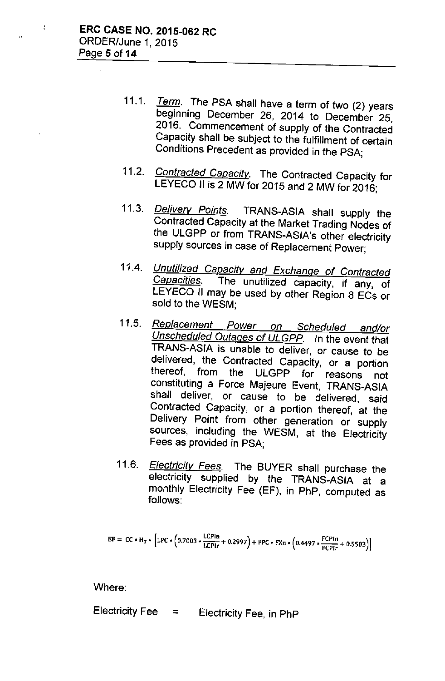$\ddot{\star}$ 

- *11.1. Term.* The PSA shall have a term of two (2) years beginning December 26, 2014 to December 25, 2016. Commencement of supply of the Contracted Capacity shall be subject to the fulfillment of certain Conditions Precedent as provided in the PSA;
- *11.2. Contracted Capacitv.* The Contracted Capacity for LEYECO II is 2 MW for 2015 and 2 MW for 2016;
- *11.3. Delivery Points.* TRANS-ASIA shall supply the Contracted Capacity at the Market Trading Nodes of the ULGPP or from TRANS-ASiA's other electricity supply sources in case of Replacement Power;
- 11.4. *Unutilized Capacitv and Exchange of Contracted Capacities.* The unutilized capacity, if any, of LEYECO II may be used by other Region 8 ECs or sold to the WESM;
- *11.5. Replacement Power on Scheduled and/or Unscheduled Outages of ULGPP.* In the event that TRANS-ASIA is unable to deliver, or cause to be delivered, the Contracted Capacity, or a portion thereof, from the ULGPP for reasons not constituting a Force Majeure Event, TRANS-ASIA shall deliver, or cause to be delivered, said Contracted Capacity, or a portion thereof, at the Delivery Point from other generation or supply sources, including the WESM, at the Electricity Fees as provided in PSA;
- *11.6. Electricitv Fees.* The BUYER shall purchase the electricity supplied by the TRANS-ASiA at a monthly Electricity Fee (EF), in PhP, computed as follows:

$$
EF = CC * H_T * [LPC * (0.7003 * \frac{LCPIn}{LCPIn} + 0.2997) + FPC * FXn * (0.4497 * \frac{FCPIn}{FCPIr} + 0.5503)]
$$

Where:

Electricity Fee = Electricity Fee, in PhP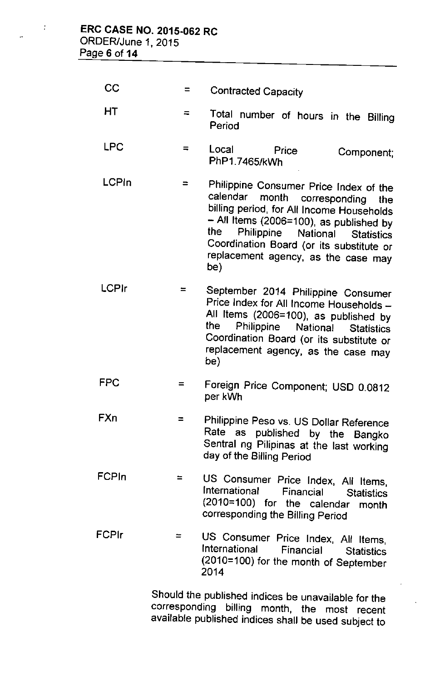| CC           | $=$ | <b>Contracted Capacity</b>                                                                                                                                                                                                                                                                              |
|--------------|-----|---------------------------------------------------------------------------------------------------------------------------------------------------------------------------------------------------------------------------------------------------------------------------------------------------------|
| HТ           | $=$ | Total number of hours in the Billing<br>Period                                                                                                                                                                                                                                                          |
| <b>LPC</b>   | $=$ | Local<br>Price<br>Component;<br>PhP1.7465/kWh                                                                                                                                                                                                                                                           |
| LCPIn        | ⋍   | Philippine Consumer Price Index of the<br>calendar month corresponding the<br>billing period, for All Income Households<br>$-$ All Items (2006=100), as published by<br>Philippine National Statistics<br>the<br>Coordination Board (or its substitute or<br>replacement agency, as the case may<br>be) |
| <b>LCPIr</b> | ⋍   | September 2014 Philippine Consumer<br>Price Index for All Income Households -<br>All Items (2006=100), as published by<br>the<br>Philippine National Statistics<br>Coordination Board (or its substitute or<br>replacement agency, as the case may                                                      |

FPC = Foreign Price Component; USD 0.0812 per kWh

be)

- FXn = Philippine Peso vs. US Dollar Reference Rate as published by the Bangko Sentral ng Pilipinas at the last working *day* of the Billing Period
- FCPln = US Consumer Price Index, All Items,<br>International Financial Statistics **Financial** Statistics (2010=100) for the calendar month corresponding the Billing Period
- FCPlr  $=$ US Consumer Price Index, All Items, International Financial Statistics (2010=100) for the month of September 2014

Should the published indices be unavailable for the corresponding billing month, the most recent available published indices shall be used subject to

÷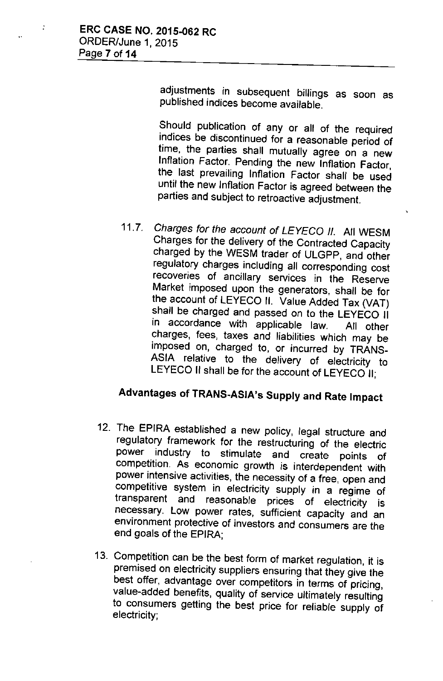$\ddot{\cdot}$ 

adjustments in subsequent billings as soon as published indices become available.

Should publication of any or all of the required indices be discontinued for a reasonable period of time, the parties shall mutually agree on a new Inflation Factor. Pending the new Inflation Factor, the last prevailing Inflation Factor shall be used until the new Inflation Factor is agreed between the parties and subject to retroactive adjustment.

*11.7. Charges for the account of LEYECO II.* All WESM Charges for the delivery of the Contracted Capacity charged by the WESM trader of ULGPP, and other regulatory charges including all corresponding cost recoveries of ancillary services in the Reserve Market imposed upon the generators, shall be for the account of LEYECO II. Value Added Tax (VAT) shall be charged and passed on to the LEYECO II in accordance with applicable law. All other charges, fees, taxes and liabilities which may be imposed on, charged to, or incurred by TRANS-ASIA relative to the delivery of electricity to LEYECO II shall be for the account of LEYECO II;

# Advantages of TRANS-ASiA's Supply and Rate Impact

- 12. The EPIRA established a new policy, legal structure and regulatory framework for the restructuring of the electric power industry to stimulate and create points of competition. As economic growth is interdependent with power intensive activities, the necessity of a free, open and competitive system in electricity supply in a regime of transparent and reasonable prices of electricity is necessary. Low power rates, sufficient capacity and an environment protective of investors and consumers are the end goals of the EPIRA;
- 13. Competition can be the best form of market regulation, it is premised on electricity suppliers ensuring that they give the best offer, advantage over competitors in terms of pricing, value-added benefits, quality of service ultimately resulting to consumers getting the best price for reliable supply of electricity;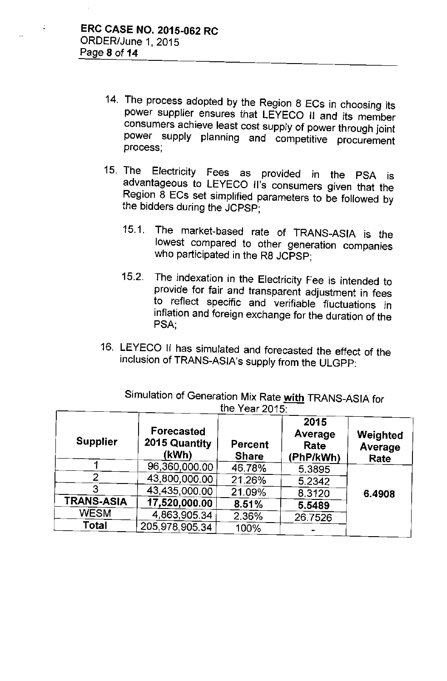÷

- 14. The process adopted by the Region 8 ECs in choosing its power supplier ensures that LEYECO II and its member consumers achieve least cost supply of power through joint power supply planning and competitive procurement process;
- 15. The Electricity Fees as provided in the PSA is advantageous to LEYECO II's consumers given that the Region  $\tilde{8}$  ECs set simplified parameters to be followed by the bidders during the JCPSP;
	- 15.1. The market-based rate of TRANS-ASIA is the lowest compared to other generation companies who participated in the R8 JCPSP;
	- 15.2. The indexation in the Electricity Fee is intended to provide for fair and transparent adjustment in fees to reflect specific and verifiable fluctuations in inflation and foreign exchange for the duration of the PSA,
- 16. LEYECO II has simulated and forecasted the effect of the inclusion of TRANS-ASiA's supply from the ULGPP:

|                   |                                             | $\overline{u}$ it can zu it.   |                                      |                             |
|-------------------|---------------------------------------------|--------------------------------|--------------------------------------|-----------------------------|
| <b>Supplier</b>   | <b>Forecasted</b><br>2015 Quantity<br>(kWh) | <b>Percent</b><br><b>Share</b> | 2015<br>Average<br>Rate<br>(PhP/kWh) | Weighted<br>Average<br>Rate |
|                   | 96,360,000.00                               | 46.78%                         | 5.3895                               |                             |
| 2                 | 43,800,000.00                               | 21.26%                         | 5.2342                               |                             |
| 3                 | 43,435,000.00                               | 21.09%                         | 8.3120                               | 6.4908                      |
| <b>TRANS-ASIA</b> | 17,520,000.00                               | 8.51%                          | 5.5489                               |                             |
| <b>WESM</b>       | 4,863,905.34                                | 2.36%                          | 26.7526                              |                             |
| Total             | 205,978,905.34                              | 100%                           |                                      |                             |

Simulation of Generation Mix Rate **with** TRANS-ASIA for the Year 2015: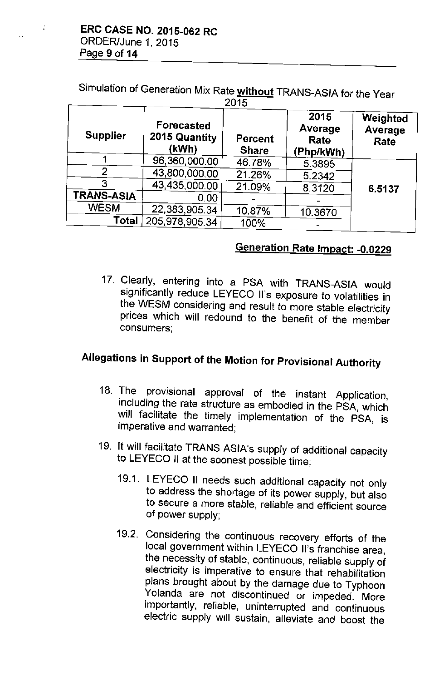$\mathbf{r}$ 

Simulation of Generation Mix Rate without TRANS-ASIA for the Year

| 2015              |                                      |                                |                                      |                             |  |  |
|-------------------|--------------------------------------|--------------------------------|--------------------------------------|-----------------------------|--|--|
| <b>Supplier</b>   | Forecasted<br>2015 Quantity<br>(kWh) | <b>Percent</b><br><b>Share</b> | 2015<br>Average<br>Rate<br>(Php/kWh) | Weighted<br>Average<br>Rate |  |  |
|                   | 96,360,000.00                        | 46.78%                         | 5.3895                               |                             |  |  |
| 2                 | 43,800,000,00                        | 21.26%                         | 5.2342                               |                             |  |  |
| 3                 | 43,435,000.00                        | 21.09%                         | 8.3120                               | 6.5137                      |  |  |
| <b>TRANS-ASIA</b> | 0.00                                 |                                |                                      |                             |  |  |
| <b>WESM</b>       | 22,383,905.34                        | 10.87%                         | 10.3670                              |                             |  |  |
| <b>Total</b>      | 205,978,905.34                       | 100%                           |                                      |                             |  |  |

# Generation Rate Impact: - 0.0229

17. Clearly, entering into a PSA with TRANS-ASIA would significantly reduce LEYECO II's exposure to volatilities in the WESM considering and result to more stable electricity prices which will redound to the benefit of the member consumers;

# Allegations in Support of the Motion for Provisional Authority

- 18. The provisional approval of the instant Application, including the rate structure as embodied in the PSA, which will facilitate the timely implementation of the PSA, is imperative and warranted;
- 19. It will facilitate TRANS ASIA's supply of additional capacity to LEYECO II at the soonest possible time;
	- 19.1. LEYECO II needs such additional capacity not only to address the shortage of its power supply, but also to secure a more stable, reliable and efficient source of power supply;
	- 19.2. Considering the continuous recovery efforts of the local government within LEYECO II's franchise area, the necessity of stable, continuous, reliable supply of electricity is imperative to ensure that rehabilitation plans brought about by the damage due to Typhoon Yolanda are not discontinued or impeded. More importantly, reliable, uninterrupted and continuous electric supply will sustain, alleviate and boost the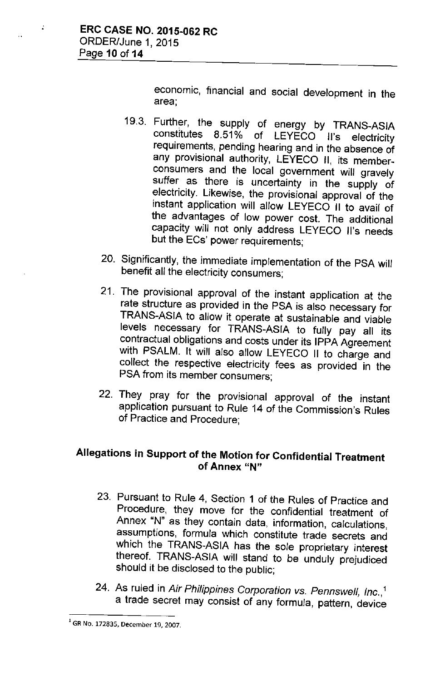economic, financial and social development in the area;

- 19.3. Further, the supply of energy by TRANS-ASIA constitutes 8.51% of LEYECO II's electricity requirements, pending hearing and in the absence of any provisional authority, LEYECO II, its memberconsumers and the local government will gravely suffer as there is uncertainty in the supply of electricity. Likewise, the provisional approval of the instant application will allow LEYECO II to avail of the advantages of low power cost. The additional capacity will not only address LEYECO II's needs but the ECs' power requirements;
- 20. Significantly, the immediate implementation of the PSA will benefit all the electricity consumers;
- 21. The provisional approval of the instant application at the rate structure as provided in the PSA is also necessary for TRANS-ASIA to allow it operate at sustainable and viable levels necessary for TRANS-ASIA to fully pay all its contractual obligations and costs under its IPPA Agreement with PSALM. It will also allow LEYECO II to charge and collect the respective electricity fees as provided in the PSA from its member consumers;
- 22. They pray for the provisional approval of the instant application pursuant to Rule 14 of the Commission's Rules of Practice and Procedure;

## Allegations in Support of the Motion for Confidential Treatment of Annex "N"

- 23. Pursuant to Rule 4, Section 1 of the Rules of Practice and Procedure, they move for the confidential treatment of Annex "N" as they contain data, information, calculations, assumptions, formula which constitute trade secrets and which the TRANS-ASIA has the *sole* proprietary interest thereof. TRANS-ASIA will stand to be unduly prejudiced should it be disclosed to the public;
- 24. As ruled in *Air Philippines Corporation vs. Pennswell, Inc.,1* a trade secret may consist of any formula, pattern, device

<sup>1</sup>GR No. 172835, December 19, 2007.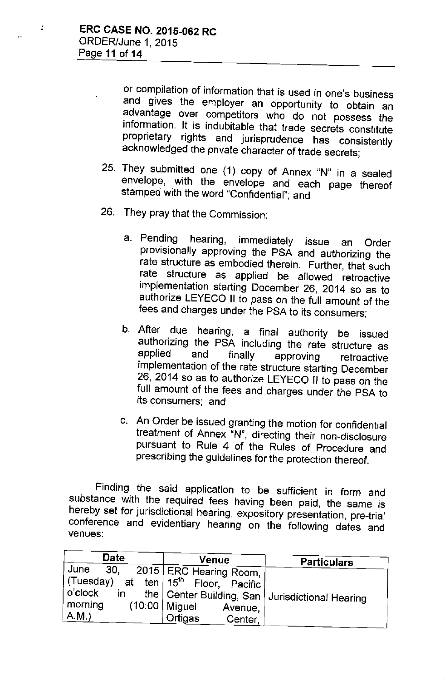or compilation of information that is used in one's business and gives the employer an opportunity to obtain an advantage over competitors who do not possess the information. It is indubitable that trade secrets constitute proprietary rights and jurisprudence has consistently acknowledged the private character of trade secrets;

- 25. They submitted one (1) copy of Annex "N" in a sealed envelope, with the envelope and each page thereof stamped with the word "Confidential"; and
- 26. They pray that the Commission;
	- a. Pending hearing, immediately issue an Order provisionally approving the PSA and authorizing the rate structure as embodied therein. Further, that such rate structure as applied be allowed retroactive implementation starting December 26, 2014 so as to authorize LEYECO II to pass on the full amount of the fees and charges under the PSA to its consumers;
	- b. After due hearing, a final authority be issued authorizing the PSA including the rate structure as<br>applied and finally approving retroodive applied and finally approving retroactive implementation of the rate structure starting December 26, 2014 so as to authorize LEYECO II to pass on the full amount of the fees and charges under the PSA to its consumers; and
	- c. An Order be issued granting the motion for confidential treatment of Annex "N", directing their non-disclosure pursuant to Rule 4 of the Rules of Procedure and prescribing the guidelines for the protection thereof.

Finding the said application to be sufficient in form and substance with the required fees having been paid, the same is hereby set for jurisdictional hearing, expository presentation, pre-trial conference and evidentiary hearing on the following dates and venues;

| <b>Date</b>    | Venue                                              | <b>Particulars</b>                                  |  |
|----------------|----------------------------------------------------|-----------------------------------------------------|--|
| June<br>30.    | 2015   ERC Hearing Room, $\frac{1}{2}$             |                                                     |  |
|                | (Tuesday) at ten   15 <sup>th</sup> Floor, Pacific |                                                     |  |
| ⊦o'clock<br>in |                                                    | the   Center Building, San   Jurisdictional Hearing |  |
| morning        | $(10:00 \mid$ Miguel<br>Avenue,                    |                                                     |  |
| A.M.           | Ortigas<br>Center,                                 |                                                     |  |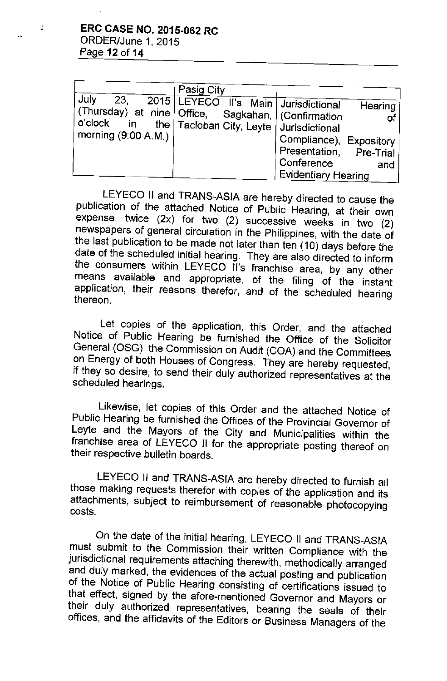÷

| July<br>23.<br>morning $(9:00 A.M.)$ | Pasig City<br>2015 LEYECO II's Main Jurisdictional<br>(Thursday) at nine   Office, Sagkahan,   (Confirmation<br>o'clock in the   Tacloban City, Leyte   Jurisdictional | Hearing<br>Compliance), Expository<br>Presentation, Pre-Trial<br>Conference<br>and |  |
|--------------------------------------|------------------------------------------------------------------------------------------------------------------------------------------------------------------------|------------------------------------------------------------------------------------|--|
|                                      |                                                                                                                                                                        | <b>Evidentiary Hearing</b>                                                         |  |

LEYECO II and TRANS-ASIA are hereby directed to cause the publication of the attached Notice of Public Hearing, at their own expense, twice (2x) for two (2) successive weeks in two (2) newspapers of general circulation in the Philippines, with the date of the last publication to be made not later than ten (10) days before the date of the scheduled initial hearing. They are also directed to inform the consumers within LEYECO II's franchise area, by any other means available and appropriate, of the filing of the instant application, their reasons therefor, and of the scheduled hearing thereon.

Let copies of the application, this Order, and the attached Notice of Public Hearing be furnished the Office of the Solicitor General (OSG), the Commission on Audit (COA) and the Committees on Energy of both Houses of Congress. They are hereby requested, if they so desire, to send their duly authorized representatives at the scheduled hearings.

Likewise, let copies of this Order and the attached Notice of Public Hearing be furnished the Offices of the Provincial Governor of Leyte and the Mayors of the City and Municipalities within the franchise area of LEYECO II for the appropriate posting thereof on their respective bulletin boards.

LEYECO II and TRANS-ASIA are hereby directed to furnish all those making requests therefor with copies of the application and its attachments, subject to reimbursement of reasonable photocopying costs.

On the date of the initial hearing, LEYECO II and TRANS-ASIA must submit to the Commission their written Compliance with the jurisdictional requirements attaching therewith, methodically arranged and duly marked, the evidences of the actual posting and publication of the Notice of Public Hearing consisting of certifications issued to that effect, signed by the afore-mentioned Governor and Mayors or their duly authorized representatives, bearing the seals of their offices, and the affidavits of the Editors or Business Managers of the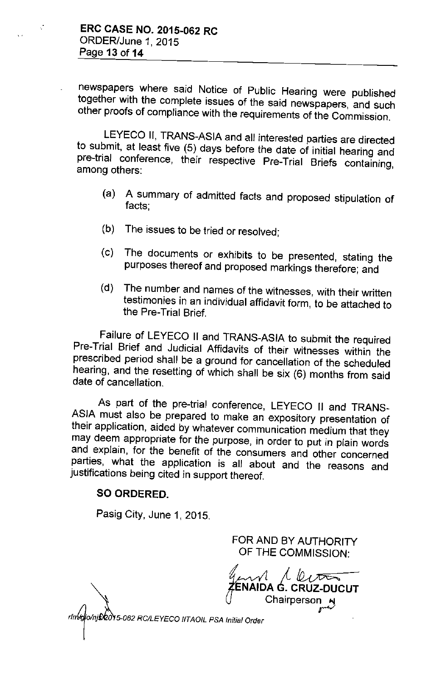V.

newspapers where said Notice of Public Hearing were published together with the complete issues of the said newspapers, and such other proofs of compliance with the requirements of the Commission.

LEYECO II, TRANS-ASIA and all interested parties are directed to submit, at least five (5) days before the date of initial hearing and pre-trial conference, their respective Pre-Trial Briefs containing, among others:

- (a) A summary of admitted facts and proposed stipulation of facts;
- (b) The issues to be tried or resolved;
- (c) The documents or exhibits to be presented, stating the purposes thereof and proposed markings therefore; and
- (d) The number and names of the witnesses, with their written testimonies in an individual affidavit form, to be attached to the Pre-Trial Brief.

Failure of LEYECO II and TRANS-ASIA to submit the required Pre-Trial Brief and Judicial Affidavits of their witnesses within the prescribed period shall be a ground for cancellation of the scheduled hearing, and the resetting of which shall be six (6) months from said date of cancellation.

As part of the pre-trial conference, LEYECO II and TRANS-ASIA must also be prepared to make an expository presentation of their application, aided by whatever communication medium that they may deem appropriate for the purpose, in order to put in plain words and explain, for the benefit of the consumers and other concerned parties, what the application is all about and the reasons and justifications being cited in support thereof.

### SO ORDERED.

Pasig City, June 1, 2015.

FOR AND BY AUTHORITY OF **THE** COMMISSION:

**7€**<br>∫ <sup>1</sup> **NAIDA** G.-**CRUZ-DUCUT** Chairperson  $\mathbf{H}$ 

lo/nj**\$/201**5-062 RC/LEYECO IITAOIL PSA Initial Order